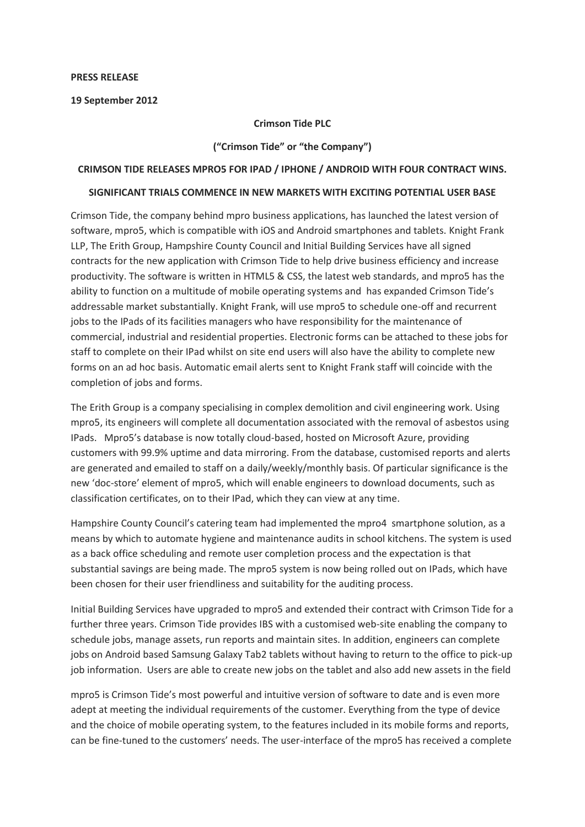### **PRESS RELEASE**

**19 September 2012**

# **Crimson Tide PLC**

# **("Crimson Tide" or "the Company")**

# **CRIMSON TIDE RELEASES MPRO5 FOR IPAD / IPHONE / ANDROID WITH FOUR CONTRACT WINS.**

# **SIGNIFICANT TRIALS COMMENCE IN NEW MARKETS WITH EXCITING POTENTIAL USER BASE**

Crimson Tide, the company behind mpro business applications, has launched the latest version of software, mpro5, which is compatible with iOS and Android smartphones and tablets. Knight Frank LLP, The Erith Group, Hampshire County Council and Initial Building Services have all signed contracts for the new application with Crimson Tide to help drive business efficiency and increase productivity. The software is written in HTML5 & CSS, the latest web standards, and mpro5 has the ability to function on a multitude of mobile operating systems and has expanded Crimson Tide's addressable market substantially. Knight Frank, will use mpro5 to schedule one-off and recurrent jobs to the IPads of its facilities managers who have responsibility for the maintenance of commercial, industrial and residential properties. Electronic forms can be attached to these jobs for staff to complete on their IPad whilst on site end users will also have the ability to complete new forms on an ad hoc basis. Automatic email alerts sent to Knight Frank staff will coincide with the completion of jobs and forms.

The Erith Group is a company specialising in complex demolition and civil engineering work. Using mpro5, its engineers will complete all documentation associated with the removal of asbestos using IPads. Mpro5's database is now totally cloud-based, hosted on Microsoft Azure, providing customers with 99.9% uptime and data mirroring. From the database, customised reports and alerts are generated and emailed to staff on a daily/weekly/monthly basis. Of particular significance is the new 'doc-store' element of mpro5, which will enable engineers to download documents, such as classification certificates, on to their IPad, which they can view at any time.

Hampshire County Council's catering team had implemented the mpro4 smartphone solution, as a means by which to automate hygiene and maintenance audits in school kitchens. The system is used as a back office scheduling and remote user completion process and the expectation is that substantial savings are being made. The mpro5 system is now being rolled out on IPads, which have been chosen for their user friendliness and suitability for the auditing process.

Initial Building Services have upgraded to mpro5 and extended their contract with Crimson Tide for a further three years. Crimson Tide provides IBS with a customised web-site enabling the company to schedule jobs, manage assets, run reports and maintain sites. In addition, engineers can complete jobs on Android based Samsung Galaxy Tab2 tablets without having to return to the office to pick-up job information. Users are able to create new jobs on the tablet and also add new assets in the field

mpro5 is Crimson Tide's most powerful and intuitive version of software to date and is even more adept at meeting the individual requirements of the customer. Everything from the type of device and the choice of mobile operating system, to the features included in its mobile forms and reports, can be fine-tuned to the customers' needs. The user-interface of the mpro5 has received a complete